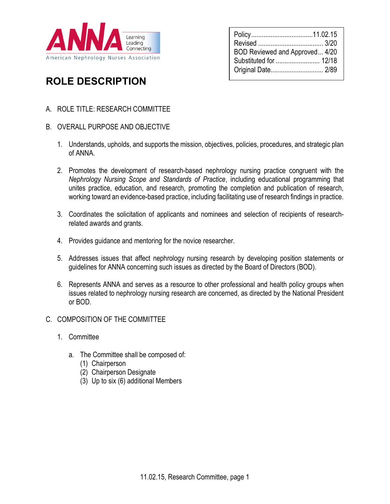

| BOD Reviewed and Approved 4/20<br>Substituted for  12/18 |  |
|----------------------------------------------------------|--|
| Original Date 2/89                                       |  |

# ROLE DESCRIPTION

- A. ROLE TITLE: RESEARCH COMMITTEE
- B. OVERALL PURPOSE AND OBJECTIVE
	- 1. Understands, upholds, and supports the mission, objectives, policies, procedures, and strategic plan of ANNA.
	- 2. Promotes the development of research-based nephrology nursing practice congruent with the Nephrology Nursing Scope and Standards of Practice, including educational programming that unites practice, education, and research, promoting the completion and publication of research, working toward an evidence-based practice, including facilitating use of research findings in practice.
	- 3. Coordinates the solicitation of applicants and nominees and selection of recipients of researchrelated awards and grants.
	- 4. Provides guidance and mentoring for the novice researcher.
	- 5. Addresses issues that affect nephrology nursing research by developing position statements or guidelines for ANNA concerning such issues as directed by the Board of Directors (BOD).
	- 6. Represents ANNA and serves as a resource to other professional and health policy groups when issues related to nephrology nursing research are concerned, as directed by the National President or BOD.
- C. COMPOSITION OF THE COMMITTEE
	- 1. Committee
		- a. The Committee shall be composed of:
			- (1) Chairperson
			- (2) Chairperson Designate
			- (3) Up to six (6) additional Members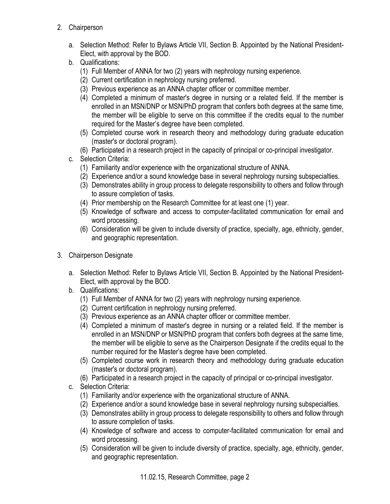- 2. Chairperson
	- a. Selection Method: Refer to Bylaws Article VII, Section B. Appointed by the National President-Elect, with approval by the BOD.
	- b. Qualifications:
		- (1) Full Member of ANNA for two (2) years with nephrology nursing experience.
		- (2) Current certification in nephrology nursing preferred.
		- (3) Previous experience as an ANNA chapter officer or committee member.
		- (4) Completed a minimum of master's degree in nursing or a related field. If the member is enrolled in an MSN/DNP or MSN/PhD program that confers both degrees at the same time, the member will be eligible to serve on this committee if the credits equal to the number required for the Master's degree have been completed.
		- (5) Completed course work in research theory and methodology during graduate education (master's or doctoral program).
		- (6) Participated in a research project in the capacity of principal or co-principal investigator.
	- c. Selection Criteria:
		- (1) Familiarity and/or experience with the organizational structure of ANNA.
		- (2) Experience and/or a sound knowledge base in several nephrology nursing subspecialties.
		- (3) Demonstrates ability in group process to delegate responsibility to others and follow through to assure completion of tasks.
		- (4) Prior membership on the Research Committee for at least one (1) year.
		- (5) Knowledge of software and access to computer-facilitated communication for email and word processing.
		- (6) Consideration will be given to include diversity of practice, specialty, age, ethnicity, gender, and geographic representation.
- 3. Chairperson Designate
	- a. Selection Method: Refer to Bylaws Article VII, Section B. Appointed by the National President-Elect, with approval by the BOD.
	- b. Qualifications:
		- (1) Full Member of ANNA for two (2) years with nephrology nursing experience.
		- (2) Current certification in nephrology nursing preferred.
		- (3) Previous experience as an ANNA chapter officer or committee member.
		- (4) Completed a minimum of master's degree in nursing or a related field. If the member is enrolled in an MSN/DNP or MSN/PhD program that confers both degrees at the same time, the member will be eligible to serve as the Chairperson Designate if the credits equal to the number required for the Master's degree have been completed.
		- (5) Completed course work in research theory and methodology during graduate education (master's or doctoral program).
		- (6) Participated in a research project in the capacity of principal or co-principal investigator.
	- c. Selection Criteria:
		- (1) Familiarity and/or experience with the organizational structure of ANNA.
		- (2) Experience and/or a sound knowledge base in several nephrology nursing subspecialties.
		- (3) Demonstrates ability in group process to delegate responsibility to others and follow through to assure completion of tasks.
		- (4) Knowledge of software and access to computer-facilitated communication for email and word processing.
		- (5) Consideration will be given to include diversity of practice, specialty, age, ethnicity, gender, and geographic representation.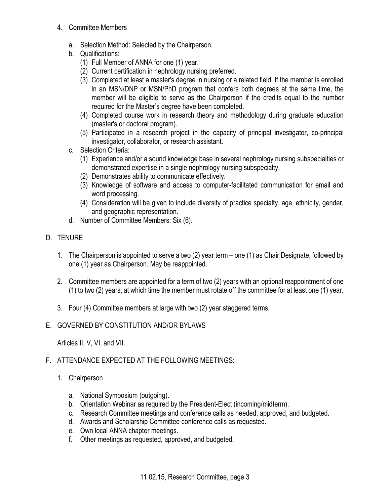- 4. Committee Members
	- a. Selection Method: Selected by the Chairperson.
	- b. Qualifications:
		- (1) Full Member of ANNA for one (1) year.
		- (2) Current certification in nephrology nursing preferred.
		- (3) Completed at least a master's degree in nursing or a related field. If the member is enrolled in an MSN/DNP or MSN/PhD program that confers both degrees at the same time, the member will be eligible to serve as the Chairperson if the credits equal to the number required for the Master's degree have been completed.
		- (4) Completed course work in research theory and methodology during graduate education (master's or doctoral program).
		- (5) Participated in a research project in the capacity of principal investigator, co-principal investigator, collaborator, or research assistant.
	- c. Selection Criteria:
		- (1) Experience and/or a sound knowledge base in several nephrology nursing subspecialties or demonstrated expertise in a single nephrology nursing subspecialty.
		- (2) Demonstrates ability to communicate effectively.
		- (3) Knowledge of software and access to computer-facilitated communication for email and word processing.
		- (4) Consideration will be given to include diversity of practice specialty, age, ethnicity, gender, and geographic representation.
	- d. Number of Committee Members: Six (6).
- D. TENURE
	- 1. The Chairperson is appointed to serve a two (2) year term one (1) as Chair Designate, followed by one (1) year as Chairperson. May be reappointed.
	- 2. Committee members are appointed for a term of two (2) years with an optional reappointment of one (1) to two (2) years, at which time the member must rotate off the committee for at least one (1) year.
	- 3. Four (4) Committee members at large with two (2) year staggered terms.

# E. GOVERNED BY CONSTITUTION AND/OR BYLAWS

Articles II, V, VI, and VII.

# F. ATTENDANCE EXPECTED AT THE FOLLOWING MEETINGS:

- 1. Chairperson
	- a. National Symposium (outgoing).
	- b. Orientation Webinar as required by the President-Elect (incoming/midterm).
	- c. Research Committee meetings and conference calls as needed, approved, and budgeted.
	- d. Awards and Scholarship Committee conference calls as requested.
	- e. Own local ANNA chapter meetings.
	- f. Other meetings as requested, approved, and budgeted.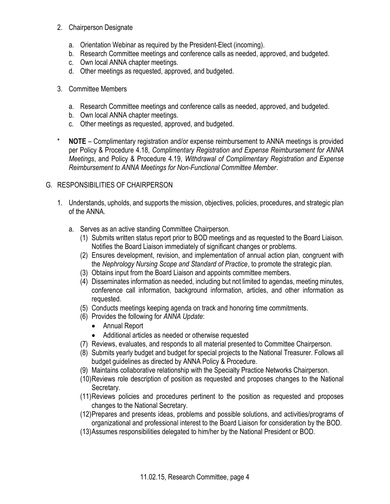- 2. Chairperson Designate
	- a. Orientation Webinar as required by the President-Elect (incoming).
	- b. Research Committee meetings and conference calls as needed, approved, and budgeted.
	- c. Own local ANNA chapter meetings.
	- d. Other meetings as requested, approved, and budgeted.
- 3. Committee Members
	- a. Research Committee meetings and conference calls as needed, approved, and budgeted.
	- b. Own local ANNA chapter meetings.
	- c. Other meetings as requested, approved, and budgeted.
- \* NOTE Complimentary registration and/or expense reimbursement to ANNA meetings is provided per Policy & Procedure 4.18, Complimentary Registration and Expense Reimbursement for ANNA Meetings, and Policy & Procedure 4.19, Withdrawal of Complimentary Registration and Expense Reimbursement to ANNA Meetings for Non-Functional Committee Member.

# G. RESPONSIBILITIES OF CHAIRPERSON

- 1. Understands, upholds, and supports the mission, objectives, policies, procedures, and strategic plan of the ANNA.
	- a. Serves as an active standing Committee Chairperson.
		- (1) Submits written status report prior to BOD meetings and as requested to the Board Liaison. Notifies the Board Liaison immediately of significant changes or problems.
		- (2) Ensures development, revision, and implementation of annual action plan, congruent with the Nephrology Nursing Scope and Standard of Practice, to promote the strategic plan.
		- (3) Obtains input from the Board Liaison and appoints committee members.
		- (4) Disseminates information as needed, including but not limited to agendas, meeting minutes, conference call information, background information, articles, and other information as requested.
		- (5) Conducts meetings keeping agenda on track and honoring time commitments.
		- (6) Provides the following for ANNA Update:
			- Annual Report
			- Additional articles as needed or otherwise requested
		- (7) Reviews, evaluates, and responds to all material presented to Committee Chairperson.
		- (8) Submits yearly budget and budget for special projects to the National Treasurer. Follows all budget guidelines as directed by ANNA Policy & Procedure.
		- (9) Maintains collaborative relationship with the Specialty Practice Networks Chairperson.
		- (10)Reviews role description of position as requested and proposes changes to the National Secretary.
		- (11)Reviews policies and procedures pertinent to the position as requested and proposes changes to the National Secretary.
		- (12)Prepares and presents ideas, problems and possible solutions, and activities/programs of organizational and professional interest to the Board Liaison for consideration by the BOD.
		- (13)Assumes responsibilities delegated to him/her by the National President or BOD.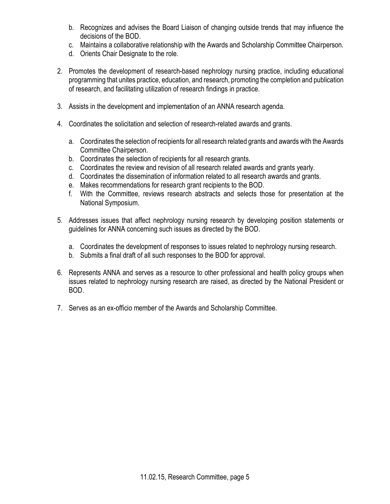- b. Recognizes and advises the Board Liaison of changing outside trends that may influence the decisions of the BOD.
- c. Maintains a collaborative relationship with the Awards and Scholarship Committee Chairperson.
- d. Orients Chair Designate to the role.
- 2. Promotes the development of research-based nephrology nursing practice, including educational programming that unites practice, education, and research, promoting the completion and publication of research, and facilitating utilization of research findings in practice.
- 3. Assists in the development and implementation of an ANNA research agenda.
- 4. Coordinates the solicitation and selection of research-related awards and grants.
	- a. Coordinates the selection of recipients for all research related grants and awards with the Awards Committee Chairperson.
	- b. Coordinates the selection of recipients for all research grants.
	- c. Coordinates the review and revision of all research related awards and grants yearly.
	- d. Coordinates the dissemination of information related to all research awards and grants.
	- e. Makes recommendations for research grant recipients to the BOD.
	- f. With the Committee, reviews research abstracts and selects those for presentation at the National Symposium.
- 5. Addresses issues that affect nephrology nursing research by developing position statements or guidelines for ANNA concerning such issues as directed by the BOD.
	- a. Coordinates the development of responses to issues related to nephrology nursing research.
	- b. Submits a final draft of all such responses to the BOD for approval.
- 6. Represents ANNA and serves as a resource to other professional and health policy groups when issues related to nephrology nursing research are raised, as directed by the National President or BOD.
- 7. Serves as an ex-officio member of the Awards and Scholarship Committee.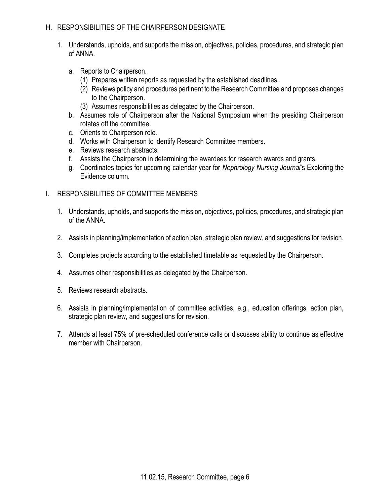#### H. RESPONSIBILITIES OF THE CHAIRPERSON DESIGNATE

- 1. Understands, upholds, and supports the mission, objectives, policies, procedures, and strategic plan of ANNA.
	- a. Reports to Chairperson.
		- (1) Prepares written reports as requested by the established deadlines.
		- (2) Reviews policy and procedures pertinent to the Research Committee and proposes changes to the Chairperson.
		- (3) Assumes responsibilities as delegated by the Chairperson.
	- b. Assumes role of Chairperson after the National Symposium when the presiding Chairperson rotates off the committee.
	- c. Orients to Chairperson role.
	- d. Works with Chairperson to identify Research Committee members.
	- e. Reviews research abstracts.
	- f. Assists the Chairperson in determining the awardees for research awards and grants.
	- g. Coordinates topics for upcoming calendar year for Nephrology Nursing Journal's Exploring the Evidence column.

## I. RESPONSIBILITIES OF COMMITTEE MEMBERS

- 1. Understands, upholds, and supports the mission, objectives, policies, procedures, and strategic plan of the ANNA.
- 2. Assists in planning/implementation of action plan, strategic plan review, and suggestions for revision.
- 3. Completes projects according to the established timetable as requested by the Chairperson.
- 4. Assumes other responsibilities as delegated by the Chairperson.
- 5. Reviews research abstracts.
- 6. Assists in planning/implementation of committee activities, e.g., education offerings, action plan, strategic plan review, and suggestions for revision.
- 7. Attends at least 75% of pre-scheduled conference calls or discusses ability to continue as effective member with Chairperson.